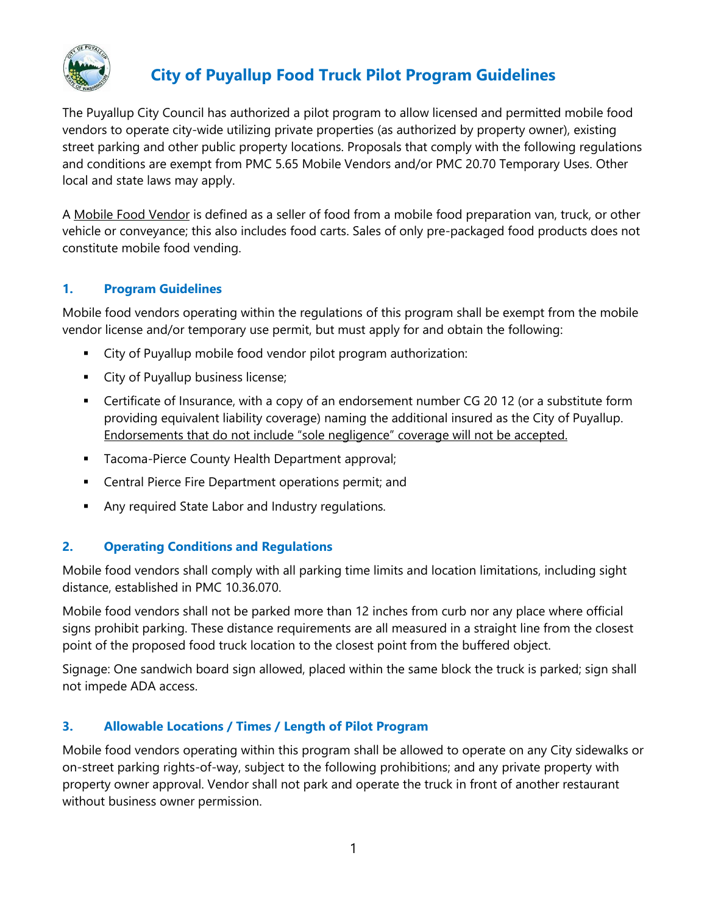

# **City of Puyallup Food Truck Pilot Program Guidelines**

The Puyallup City Council has authorized a pilot program to allow licensed and permitted mobile food vendors to operate city-wide utilizing private properties (as authorized by property owner), existing street parking and other public property locations. Proposals that comply with the following regulations and conditions are exempt from PMC 5.65 Mobile Vendors and/or PMC 20.70 Temporary Uses. Other local and state laws may apply.

A Mobile Food Vendor is defined as a seller of food from a mobile food preparation van, truck, or other vehicle or conveyance; this also includes food carts. Sales of only pre-packaged food products does not constitute mobile food vending.

### **1. Program Guidelines**

Mobile food vendors operating within the regulations of this program shall be exempt from the mobile vendor license and/or temporary use permit, but must apply for and obtain the following:

- City of Puyallup mobile food vendor pilot program authorization:
- **EXECT** City of Puyallup business license;
- **•** Certificate of Insurance, with a copy of an endorsement number CG 20 12 (or a substitute form providing equivalent liability coverage) naming the additional insured as the City of Puyallup. Endorsements that do not include "sole negligence" coverage will not be accepted.
- **■** Tacoma-Pierce County Health Department approval;
- **EXEC** Central Pierce Fire Department operations permit; and
- Any required State Labor and Industry regulations.

# **2. Operating Conditions and Regulations**

Mobile food vendors shall comply with all parking time limits and location limitations, including sight distance, established in PMC 10.36.070.

Mobile food vendors shall not be parked more than 12 inches from curb nor any place where official signs prohibit parking. These distance requirements are all measured in a straight line from the closest point of the proposed food truck location to the closest point from the buffered object.

Signage: One sandwich board sign allowed, placed within the same block the truck is parked; sign shall not impede ADA access.

# **3. Allowable Locations / Times / Length of Pilot Program**

Mobile food vendors operating within this program shall be allowed to operate on any City sidewalks or on-street parking rights-of-way, subject to the following prohibitions; and any private property with property owner approval. Vendor shall not park and operate the truck in front of another restaurant without business owner permission.